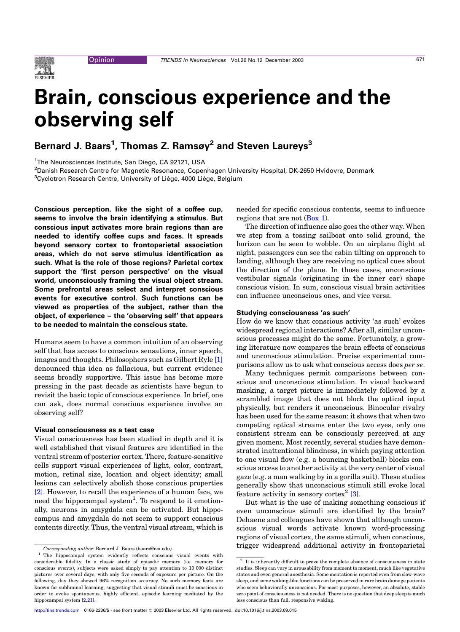# Brain, conscious experience and the observing self

## Bernard J. Baars<sup>1</sup>, Thomas Z. Ramsøy<sup>2</sup> and Steven Laureys $^3$

<sup>1</sup>The Neurosciences Institute, San Diego, CA 92121, USA

2 Danish Research Centre for Magnetic Resonance, Copenhagen University Hospital, DK-2650 Hvidovre, Denmark

 ${}^{3}$ Cyclotron Research Centre, University of Liège, 4000 Liège, Belgium

Conscious perception, like the sight of a coffee cup, seems to involve the brain identifying a stimulus. But conscious input activates more brain regions than are needed to identify coffee cups and faces. It spreads beyond sensory cortex to frontoparietal association areas, which do not serve stimulus identification as such. What is the role of those regions? Parietal cortex support the 'first person perspective' on the visual world, unconsciously framing the visual object stream. Some prefrontal areas select and interpret conscious events for executive control. Such functions can be viewed as properties of the subject, rather than the object, of experience – the 'observing self' that appears to be needed to maintain the conscious state.

Humans seem to have a common intuition of an observing self that has access to conscious sensations, inner speech, images and thoughts. Philosophers such as Gilbert Ryle [\[1\]](#page-3-0) denounced this idea as fallacious, but current evidence seems broadly supportive. This issue has become more pressing in the past decade as scientists have begun to revisit the basic topic of conscious experience. In brief, one can ask, does normal conscious experience involve an observing self?

### Visual consciousness as a test case

Visual consciousness has been studied in depth and it is well established that visual features are identified in the ventral stream of posterior cortex. There, feature-sensitive cells support visual experiences of light, color, contrast, motion, retinal size, location and object identity; small lesions can selectively abolish those conscious properties [\[2\]](#page-3-0). However, to recall the experience of a human face, we need the hippocampal system<sup>1</sup>. To respond to it emotionally, neurons in amygdala can be activated. But hippocampus and amygdala do not seem to support conscious contents directly. Thus, the ventral visual stream, which is needed for specific conscious contents, seems to influence regions that are not  $(Box 1)$  $(Box 1)$ .

The direction of influence also goes the other way. When we step from a tossing sailboat onto solid ground, the horizon can be seen to wobble. On an airplane flight at night, passengers can see the cabin tilting on approach to landing, although they are receiving no optical cues about the direction of the plane. In those cases, unconscious vestibular signals (originating in the inner ear) shape conscious vision. In sum, conscious visual brain activities can influence unconscious ones, and vice versa.

#### Studying consciousness 'as such'

How do we know that conscious activity 'as such' evokes widespread regional interactions? After all, similar unconscious processes might do the same. Fortunately, a growing literature now compares the brain effects of conscious and unconscious stimulation. Precise experimental comparisons allow us to ask what conscious access does per se.

Many techniques permit comparisons between conscious and unconscious stimulation. In visual backward masking, a target picture is immediately followed by a scrambled image that does not block the optical input physically, but renders it unconscious. Binocular rivalry has been used for the same reason: it shows that when two competing optical streams enter the two eyes, only one consistent stream can be consciously perceived at any given moment. Most recently, several studies have demonstrated inattentional blindness, in which paying attention to one visual flow (e.g. a bouncing basketball) blocks conscious access to another activity at the very center of visual gaze (e.g. a man walking by in a gorilla suit). These studies generally show that unconscious stimuli still evoke local feature activity in sensory cortex<sup>2</sup> [\[3\].](#page-3-0)

But what is the use of making something conscious if even unconscious stimuli are identified by the brain? Dehaene and colleagues have shown that although unconscious visual words activate known word-processing regions of visual cortex, the same stimuli, when conscious, The trigger widespread additional activity in frontoparietal Corresponding author: Bernard J. Baars (baars@nsi.edu).

<sup>1</sup> The hippocampal system evidently reflects conscious visual events with considerable fidelity. In a classic study of episodic memory (i.e. memory for conscious events), subjects were asked simply to pay attention to 10 000 distinct pictures over several days, with only five seconds of exposure per picture. On the following, day they showed 96% recognition accuracy. No such memory feats are known for subliminal learning, suggesting that visual stimuli must be conscious in order to evoke spontaneous, highly efficient, episodic learning mediated by the hippocampal system [\[2,21\].](#page-3-0)

 $2$  It is inherently difficult to prove the complete absence of consciousness in state studies. Sleep can vary in arousability from moment to moment, much like vegetative states and even general anesthesia. Some mentation is reported even from slow-wave sleep, and some waking-like functions can be preserved in rare brain damage patients who seem behaviorally unconscious. For most purposes, however, an absolute, stable zero point of consciousness is not needed. There is no question that deep sleep is much less conscious than full, responsive waking.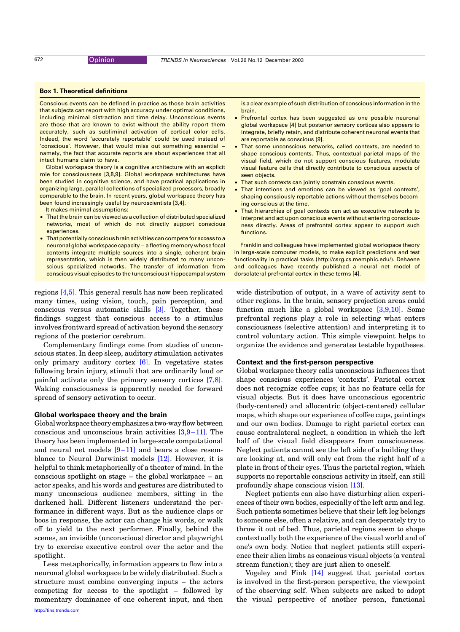#### <span id="page-1-0"></span>Box 1. Theoretical definitions

Conscious events can be defined in practice as those brain activities that subjects can report with high accuracy under optimal conditions, including minimal distraction and time delay. Unconscious events are those that are known to exist without the ability report them accurately, such as subliminal activation of cortical color cells. Indeed, the word 'accurately reportable' could be used instead of 'conscious'. However, that would miss out something essential – namely, the fact that accurate reports are about experiences that all intact humans claim to have.

Global workspace theory is a cognitive architecture with an explicit role for consciousness [3,8,9]. Global workspace architectures have been studied in cognitive science, and have practical applications in organizing large, parallel collections of specialized processors, broadly comparable to the brain. In recent years, global workspace theory has been found increasingly useful by neuroscientists [3,4].

It makes minimal assumptions:

- That the brain can be viewed as a collection of distributed specialized networks, most of which do not directly support conscious experiences.
- $\bullet$  That potentially conscious brain activities can compete for access to a neuronal global workspace capacity – a fleeting memory whose focal contents integrate multiple sources into a single, coherent brain representation, which is then widely distributed to many unconscious specialized networks. The transfer of information from conscious visual episodes to the (unconscious) hippocampal system

regions [\[4,5\].](#page-3-0) This general result has now been replicated many times, using vision, touch, pain perception, and conscious versus automatic skills [\[3\]](#page-3-0). Together, these findings suggest that conscious access to a stimulus involves frontward spread of activation beyond the sensory regions of the posterior cerebrum.

Complementary findings come from studies of unconscious states. In deep sleep, auditory stimulation activates only primary auditory cortex [\[6\]](#page-3-0). In vegetative states following brain injury, stimuli that are ordinarily loud or painful activate only the primary sensory cortices [\[7,8\]](#page-3-0). Waking consciousness is apparently needed for forward spread of sensory activation to occur.

#### Global workspace theory and the brain

Globalworkspacetheoryemphasizesatwo-wayflowbetween conscious and unconscious brain activities [\[3,9–11\].](#page-3-0) The theory has been implemented in large-scale computational and neural net models  $[9-11]$  and bears a close resemblance to Neural Darwinist models [\[12\]](#page-4-0). However, it is helpful to think metaphorically of a theater of mind. In the conscious spotlight on stage – the global workspace – an actor speaks, and his words and gestures are distributed to many unconscious audience members, sitting in the darkened hall. Different listeners understand the performance in different ways. But as the audience claps or boos in response, the actor can change his words, or walk off to yield to the next performer. Finally, behind the scenes, an invisible (unconscious) director and playwright try to exercise executive control over the actor and the spotlight.

Less metaphorically, information appears to flow into a neuronal global workspace to be widely distributed. Such a structure must combine converging inputs – the actors competing for access to the spotlight – followed by momentary dominance of one coherent input, and then is a clear example of such distribution of conscious information in the brain.

- Prefrontal cortex has been suggested as one possible neuronal global workspace [4] but posterior sensory cortices also appears to integrate, briefly retain, and distribute coherent neuronal events that are reportable as conscious [9].
- That some unconscious networks, called contexts, are needed to shape conscious contents. Thus, contextual parietal maps of the visual field, which do not support conscious features, modulate visual feature cells that directly contribute to conscious aspects of seen objects.
- That such contexts can jointly constrain conscious events.
- That intentions and emotions can be viewed as 'goal contexts', shaping consciously reportable actions without themselves becoming conscious at the time.
- That hierarchies of goal contexts can act as executive networks to interpret and act upon conscious events without entering consciousness directly. Areas of prefrontal cortex appear to support such functions.

Franklin and colleagues have implemented global workspace theory in large-scale computer models, to make explicit predictions and test functionality in practical tasks (http://csrg.cs.memphic.edu/). Dehaene and colleagues have recently published a neural net model of dorsolateral prefrontal cortex in these terms [4].

wide distribution of output, in a wave of activity sent to other regions. In the brain, sensory projection areas could function much like a global workspace [\[3,9,10\]](#page-3-0). Some prefrontal regions play a role in selecting what enters consciousness (selective attention) and interpreting it to control voluntary action. This simple viewpoint helps to organize the evidence and generates testable hypotheses.

#### Context and the first-person perspective

Global workspace theory calls unconscious influences that shape conscious experiences 'contexts'. Parietal cortex does not recognize coffee cups; it has no feature cells for visual objects. But it does have unconscious egocentric (body-centered) and allocentric (object-centered) cellular maps, which shape our experience of coffee cups, paintings and our own bodies. Damage to right parietal cortex can cause contralateral neglect, a condition in which the left half of the visual field disappears from consciousness. Neglect patients cannot see the left side of a building they are looking at, and will only eat from the right half of a plate in front of their eyes. Thus the parietal region, which supports no reportable conscious activity in itself, can still profoundly shape conscious vision [\[13\].](#page-4-0)

Neglect patients can also have disturbing alien experiences of their own bodies, especially of the left arm and leg. Such patients sometimes believe that their left leg belongs to someone else, often a relative, and can desperately try to throw it out of bed. Thus, parietal regions seem to shape contextually both the experience of the visual world and of one's own body. Notice that neglect patients still experience their alien limbs as conscious visual objects (a ventral stream function); they are just alien to oneself.

Vogeley and Fink  $[14]$  suggest that parietal cortex is involved in the first-person perspective, the viewpoint of the observing self. When subjects are asked to adopt the visual perspective of another person, functional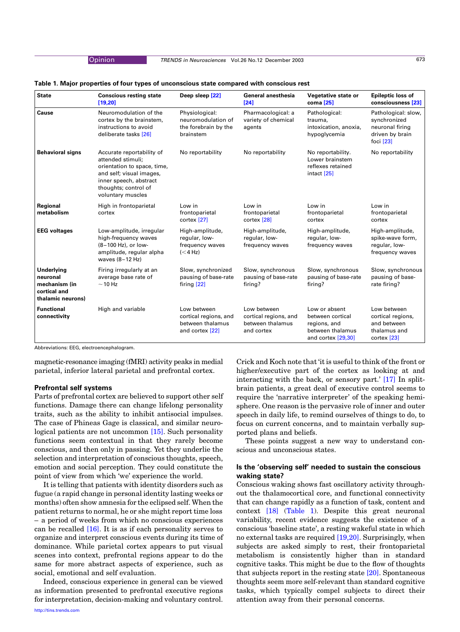#### Opinion TRENDS in Neurosciences Vol.26 No.12 December 2003 673

#### <span id="page-2-0"></span>Table 1. Major properties of four types of unconscious state compared with conscious rest

| <b>State</b>                                                                 | <b>Conscious resting state</b><br>[19, 20]                                                                                                                                       | Deep sleep [22]                                                             | <b>General anesthesia</b><br>$[24]$                                    | Vegetative state or<br>coma [25]                                                            | <b>Epileptic loss of</b><br>consciousness [23]                                            |
|------------------------------------------------------------------------------|----------------------------------------------------------------------------------------------------------------------------------------------------------------------------------|-----------------------------------------------------------------------------|------------------------------------------------------------------------|---------------------------------------------------------------------------------------------|-------------------------------------------------------------------------------------------|
| Cause                                                                        | Neuromodulation of the<br>cortex by the brainstem,<br>instructions to avoid<br>deliberate tasks [26]                                                                             | Physiological:<br>neuromodulation of<br>the forebrain by the<br>brainstem   | Pharmacological: a<br>variety of chemical<br>agents                    | Pathological:<br>trauma,<br>intoxication, anoxia,<br>hypoglycemia                           | Pathological: slow,<br>synchronized<br>neuronal firing<br>driven by brain<br>foci $[23]$  |
| <b>Behavioral signs</b>                                                      | Accurate reportability of<br>attended stimuli;<br>orientation to space, time,<br>and self; visual images,<br>inner speech, abstract<br>thoughts; control of<br>voluntary muscles | No reportability                                                            | No reportability                                                       | No reportability.<br>Lower brainstem<br>reflexes retained<br>intact [25]                    | No reportability                                                                          |
| Regional<br>metabolism                                                       | High in frontoparietal<br>cortex                                                                                                                                                 | Low in<br>frontoparietal<br>cortex <sup>[27]</sup>                          | Low in<br>frontoparietal<br>cortex <sup>[28]</sup>                     | Low in<br>frontoparietal<br>cortex                                                          | Low in<br>frontoparietal<br>cortex                                                        |
| <b>EEG</b> voltages                                                          | Low-amplitude, irregular<br>high-frequency waves<br>(8-100 Hz), or low-<br>amplitude, regular alpha<br>waves (8-12 Hz)                                                           | High-amplitude,<br>regular, low-<br>frequency waves<br>$(<$ 4 Hz)           | High-amplitude,<br>regular, low-<br>frequency waves                    | High-amplitude,<br>regular, low-<br>frequency waves                                         | High-amplitude,<br>spike-wave form,<br>regular, low-<br>frequency waves                   |
| Underlying<br>neuronal<br>mechanism (in<br>cortical and<br>thalamic neurons) | Firing irregularly at an<br>average base rate of<br>$\sim$ 10 Hz                                                                                                                 | Slow, synchronized<br>pausing of base-rate<br>firing $[22]$                 | Slow, synchronous<br>pausing of base-rate<br>firing?                   | Slow, synchronous<br>pausing of base-rate<br>firing?                                        | Slow, synchronous<br>pausing of base-<br>rate firing?                                     |
| <b>Functional</b><br>connectivity                                            | High and variable                                                                                                                                                                | Low between<br>cortical regions, and<br>between thalamus<br>and cortex [22] | Low between<br>cortical regions, and<br>between thalamus<br>and cortex | Low or absent<br>between cortical<br>regions, and<br>between thalamus<br>and cortex [29,30] | Low between<br>cortical regions,<br>and between<br>thalamus and<br>cortex <sup>[23]</sup> |

Abbreviations: EEG, electroencephalogram.

magnetic-resonance imaging (fMRI) activity peaks in medial parietal, inferior lateral parietal and prefrontal cortex.

#### Prefrontal self systems

Parts of prefrontal cortex are believed to support other self functions. Damage there can change lifelong personality traits, such as the ability to inhibit antisocial impulses. The case of Phineas Gage is classical, and similar neurological patients are not uncommon [\[15\]](#page-4-0). Such personality functions seem contextual in that they rarely become conscious, and then only in passing. Yet they underlie the selection and interpretation of conscious thoughts, speech, emotion and social perception. They could constitute the point of view from which 'we' experience the world.

It is telling that patients with identity disorders such as fugue (a rapid change in personal identity lasting weeks or months) often show amnesia for the eclipsed self. When the patient returns to normal, he or she might report time loss – a period of weeks from which no conscious experiences can be recalled [\[16\]](#page-4-0). It is as if each personality serves to organize and interpret conscious events during its time of dominance. While parietal cortex appears to put visual scenes into context, prefrontal regions appear to do the same for more abstract aspects of experience, such as social, emotional and self evaluation.

Indeed, conscious experience in general can be viewed as information presented to prefrontal executive regions for interpretation, decision-making and voluntary control.

[http://tins.trends.com](http://www.trends.com)

Crick and Koch note that 'it is useful to think of the front or higher/executive part of the cortex as looking at and interacting with the back, or sensory part.' [\[17\]](#page-4-0) In splitbrain patients, a great deal of executive control seems to require the 'narrative interpreter' of the speaking hemisphere. One reason is the pervasive role of inner and outer speech in daily life, to remind ourselves of things to do, to focus on current concerns, and to maintain verbally supported plans and beliefs.

These points suggest a new way to understand conscious and unconscious states.

### Is the 'observing self' needed to sustain the conscious waking state?

Conscious waking shows fast oscillatory activity throughout the thalamocortical core, and functional connectivity that can change rapidly as a function of task, content and context [\[18\]](#page-4-0) (Table 1). Despite this great neuronal variability, recent evidence suggests the existence of a conscious 'baseline state', a resting wakeful state in which no external tasks are required [\[19,20\]](#page-4-0). Surprisingly, when subjects are asked simply to rest, their frontoparietal metabolism is consistently higher than in standard cognitive tasks. This might be due to the flow of thoughts that subjects report in the resting state [\[20\].](#page-4-0) Spontaneous thoughts seem more self-relevant than standard cognitive tasks, which typically compel subjects to direct their attention away from their personal concerns.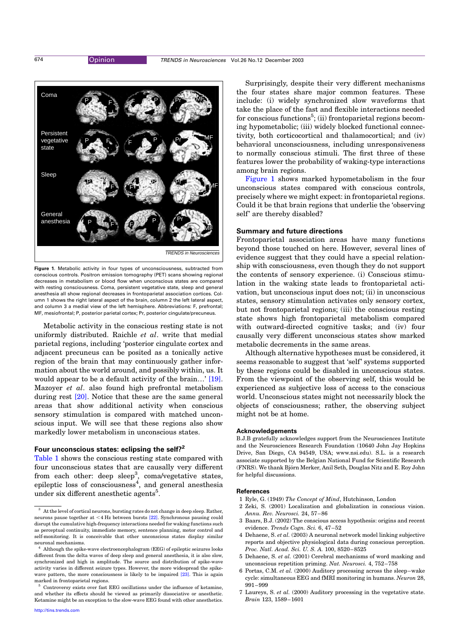<span id="page-3-0"></span>



Figure 1. Metabolic activity in four types of unconsciousness, subtracted from conscious controls. Positron emission tomography (PET) scans showing regional decreases in metabolism or blood flow when unconscious states are compared with resting consciousness. Coma, persistent vegetative state, sleep and general anesthesia all show regional decreases in frontoparietal association cortices. Column 1 shows the right lateral aspect of the brain, column 2 the left lateral aspect, and column 3 a medial view of the left hemisphere. Abbreviations: F, prefrontal; MF, mesiofrontal; P, posterior parietal cortex; Pr, posterior cingulate/precuneus.

Metabolic activity in the conscious resting state is not uniformly distributed. Raichle et al. write that medial parietal regions, including 'posterior cingulate cortex and adjacent precuneus can be posited as a tonically active region of the brain that may continuously gather information about the world around, and possibly within, us. It would appear to be a default activity of the brain…' [\[19\]](#page-4-0). Mazoyer et al. also found high prefrontal metabolism during rest [\[20\].](#page-4-0) Notice that these are the same general areas that show additional activity when conscious sensory stimulation is compared with matched unconscious input. We will see that these regions also show markedly lower metabolism in unconscious states.

#### Four unconscious states: eclipsing the self?<sup>2</sup>

[Table 1](#page-2-0) shows the conscious resting state compared with four unconscious states that are causally very different from each other: deep sleep<sup>3</sup>, coma/vegetative states, epileptic loss of consciousness<sup>4</sup>, and general anesthesia under six different anesthetic agents<sup>5</sup>.

Surprisingly, despite their very different mechanisms the four states share major common features. These include: (i) widely synchronized slow waveforms that take the place of the fast and flexible interactions needed for conscious functions<sup>5</sup>; (ii) frontoparietal regions becoming hypometabolic; (iii) widely blocked functional connectivity, both corticocortical and thalamocortical; and (iv) behavioral unconsciousness, including unresponsiveness to normally conscious stimuli. The first three of these features lower the probability of waking-type interactions among brain regions.

Figure 1 shows marked hypometabolism in the four unconscious states compared with conscious controls, precisely where we might expect: in frontoparietal regions. Could it be that brain regions that underlie the 'observing self' are thereby disabled?

#### Summary and future directions

Frontoparietal association areas have many functions beyond those touched on here. However, several lines of evidence suggest that they could have a special relationship with consciousness, even though they do not support the contents of sensory experience. (i) Conscious stimulation in the waking state leads to frontoparietal activation, but unconscious input does not; (ii) in unconscious states, sensory stimulation activates only sensory cortex, but not frontoparietal regions; (iii) the conscious resting state shows high frontoparietal metabolism compared with outward-directed cognitive tasks; and (iv) four causally very different unconscious states show marked metabolic decrements in the same areas.

Although alternative hypotheses must be considered, it seems reasonable to suggest that 'self' systems supported by these regions could be disabled in unconscious states. From the viewpoint of the observing self, this would be experienced as subjective loss of access to the conscious world. Unconscious states might not necessarily block the objects of consciousness; rather, the observing subject might not be at home.

#### Acknowledgements

B.J.B gratefully acknowledges support from the Neurosciences Institute and the Neurosciences Research Foundation (10640 John Jay Hopkins Drive, San Diego, CA 94549, USA; www.nsi.edu). S.L. is a research associate supported by the Belgian National Fund for Scientific Research (FNRS). We thank Björn Merker, Anil Seth, Douglas Nitz and E. Roy John for helpful discussions.

#### References

- 1 Ryle, G. (1949) The Concept of Mind, Hutchinson, London
- 2 Zeki, S. (2001) Localization and globalization in conscious vision. Annu. Rev. Neurosci. 24, 57–86
- 3 Baars, B.J. (2002) The conscious access hypothesis: origins and recent evidence. Trends Cogn. Sci. 6, 47–52
- 4 Dehaene, S. et al. (2003) A neuronal network model linking subjective reports and objective physiological data during conscious perception. Proc. Natl. Acad. Sci. U. S. A. 100, 8520–8525
- 5 Dehaene, S. et al. (2001) Cerebral mechanisms of word masking and unconscious repetition priming. Nat. Neurosci. 4, 752–758
- 6 Portas, C.M. et al. (2000) Auditory processing across the sleep–wake cycle: simultaneous EEG and fMRI monitoring in humans. Neuron 28, 991–999
- 7 Laureys, S. et al. (2000) Auditory processing in the vegetative state. Brain 123, 1589–1601

 $^3\;$  At the level of cortical neurons, bursting rates do not change in deep sleep. Rather, neurons pause together at  $\leq 4$  Hz between bursts [\[22\].](#page-4-0) Synchronous pausing could disrupt the cumulative high-frequency interactions needed for waking functions such as perceptual continuity, immediate memory, sentence planning, motor control and self-monitoring. It is conceivable that other unconscious states display similar neuronal mechanisms.

<sup>4</sup> Although the spike-wave electroencephalogram (EEG) of epileptic seizures looks different from the delta waves of deep sleep and general anesthesia, it is also slow, synchronized and high in amplitude. The source and distribution of spike-wave activity varies in different seizure types. However, the more widespread the spike-wave pattern, the more consciousness is likely to be impaired [\[23\].](#page-4-0) This is again marked in frontoparietal regions.

Controversy exists over fast EEG oscillations under the influence of ketamine, and whether its effects should be viewed as primarily dissociative or anesthetic. Ketamine might be an exception to the slow-wave EEG found with other anesthetics.